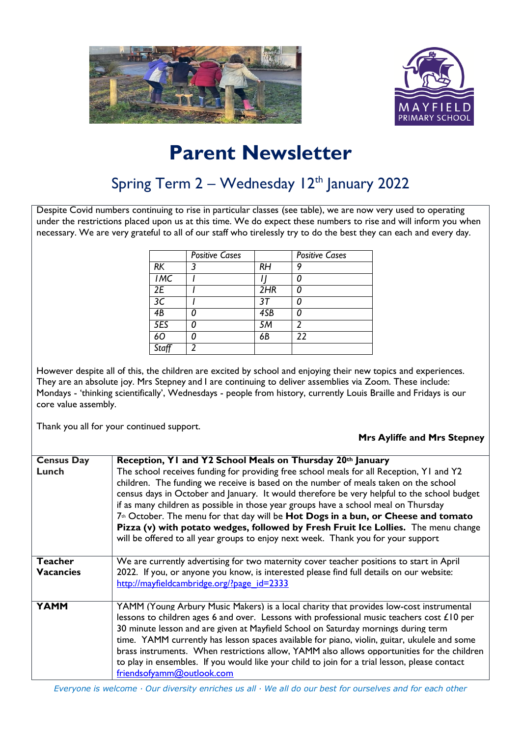



## **Parent Newsletter**

## Spring Term  $2 -$  Wednesday 12<sup>th</sup> January 2022

Despite Covid numbers continuing to rise in particular classes (see table), we are now very used to operating under the restrictions placed upon us at this time. We do expect these numbers to rise and will inform you when necessary. We are very grateful to all of our staff who tirelessly try to do the best they can each and every day.

|      | <b>Positive Cases</b> |           | <b>Positive Cases</b> |
|------|-----------------------|-----------|-----------------------|
| RK   | 3                     | <b>RH</b> | g                     |
| IMC  |                       |           |                       |
| 2E   |                       | 2HR       |                       |
| 3C   |                       | 37        |                       |
| 4B   |                       | 4SB       |                       |
| 5ES  |                       | 5M        | 2                     |
| 60   |                       | 6B        | $\overline{22}$       |
| Staf |                       |           |                       |

However despite all of this, the children are excited by school and enjoying their new topics and experiences. They are an absolute joy. Mrs Stepney and I are continuing to deliver assemblies via Zoom. These include: Mondays - 'thinking scientifically', Wednesdays - people from history, currently Louis Braille and Fridays is our core value assembly.

Thank you all for your continued support.

**Mrs Ayliffe and Mrs Stepney**

| <b>Census Day</b> | Reception, Y1 and Y2 School Meals on Thursday 20th January                                                                                                                                                                                                                                                                                                                                                                                                                                                                                                                                                                                                 |
|-------------------|------------------------------------------------------------------------------------------------------------------------------------------------------------------------------------------------------------------------------------------------------------------------------------------------------------------------------------------------------------------------------------------------------------------------------------------------------------------------------------------------------------------------------------------------------------------------------------------------------------------------------------------------------------|
| Lunch             | The school receives funding for providing free school meals for all Reception, Y1 and Y2<br>children. The funding we receive is based on the number of meals taken on the school<br>census days in October and January. It would therefore be very helpful to the school budget<br>if as many children as possible in those year groups have a school meal on Thursday<br>7 <sup>th</sup> October. The menu for that day will be <b>Hot Dogs in a bun, or Cheese and tomato</b><br>Pizza (v) with potato wedges, followed by Fresh Fruit Ice Lollies. The menu change<br>will be offered to all year groups to enjoy next week. Thank you for your support |
| Teacher           | We are currently advertising for two maternity cover teacher positions to start in April                                                                                                                                                                                                                                                                                                                                                                                                                                                                                                                                                                   |
| <b>Vacancies</b>  | 2022. If you, or anyone you know, is interested please find full details on our website:<br>http://mayfieldcambridge.org/?page_id=2333                                                                                                                                                                                                                                                                                                                                                                                                                                                                                                                     |
| <b>YAMM</b>       | YAMM (Young Arbury Music Makers) is a local charity that provides low-cost instrumental<br>lessons to children ages 6 and over. Lessons with professional music teachers cost $£10$ per<br>30 minute lesson and are given at Mayfield School on Saturday mornings during term<br>time. YAMM currently has lesson spaces available for piano, violin, guitar, ukulele and some<br>brass instruments. When restrictions allow, YAMM also allows opportunities for the children<br>to play in ensembles. If you would like your child to join for a trial lesson, please contact<br>friendsofyamm@outlook.com                                                 |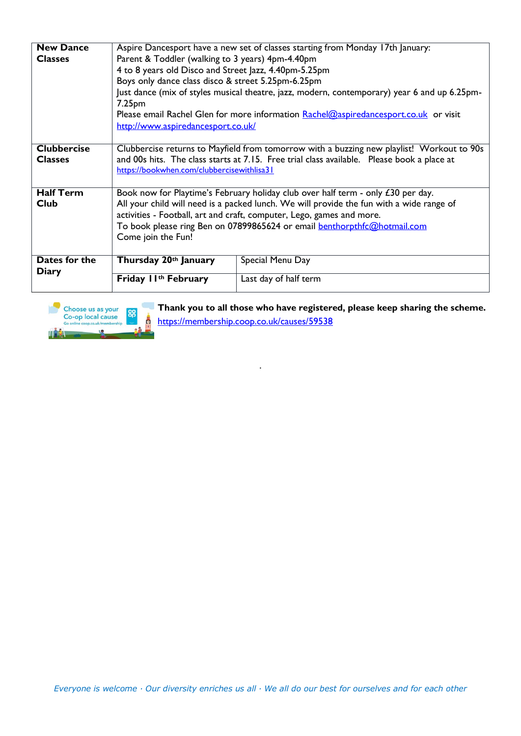| <b>New Dance</b>              | Aspire Dancesport have a new set of classes starting from Monday 17th January:                                                                                           |                                                                                      |  |  |
|-------------------------------|--------------------------------------------------------------------------------------------------------------------------------------------------------------------------|--------------------------------------------------------------------------------------|--|--|
| <b>Classes</b>                | Parent & Toddler (walking to 3 years) 4pm-4.40pm                                                                                                                         |                                                                                      |  |  |
|                               | 4 to 8 years old Disco and Street Jazz, 4.40pm-5.25pm                                                                                                                    |                                                                                      |  |  |
|                               | Boys only dance class disco & street 5.25pm-6.25pm<br>Just dance (mix of styles musical theatre, jazz, modern, contemporary) year 6 and up 6.25pm-<br>7.25 <sub>pm</sub> |                                                                                      |  |  |
|                               |                                                                                                                                                                          |                                                                                      |  |  |
|                               |                                                                                                                                                                          | Please email Rachel Glen for more information Rachel@aspiredancesport.co.uk or visit |  |  |
|                               | http://www.aspiredancesport.co.uk/                                                                                                                                       |                                                                                      |  |  |
|                               |                                                                                                                                                                          |                                                                                      |  |  |
| <b>Clubbercise</b>            | Clubbercise returns to Mayfield from tomorrow with a buzzing new playlist! Workout to 90s                                                                                |                                                                                      |  |  |
| <b>Classes</b>                | and 00s hits. The class starts at 7.15. Free trial class available. Please book a place at<br>https://bookwhen.com/clubbercisewithlisa31                                 |                                                                                      |  |  |
|                               |                                                                                                                                                                          |                                                                                      |  |  |
|                               |                                                                                                                                                                          |                                                                                      |  |  |
| <b>Half Term</b>              | Book now for Playtime's February holiday club over half term - only £30 per day.                                                                                         |                                                                                      |  |  |
| Club                          | All your child will need is a packed lunch. We will provide the fun with a wide range of                                                                                 |                                                                                      |  |  |
|                               | activities - Football, art and craft, computer, Lego, games and more.                                                                                                    |                                                                                      |  |  |
|                               | To book please ring Ben on 07899865624 or email <b>benthorpthfc@hotmail.com</b>                                                                                          |                                                                                      |  |  |
|                               | Come join the Fun!                                                                                                                                                       |                                                                                      |  |  |
|                               |                                                                                                                                                                          |                                                                                      |  |  |
| Dates for the<br><b>Diary</b> | Thursday 20th January                                                                                                                                                    | Special Menu Day                                                                     |  |  |
|                               |                                                                                                                                                                          |                                                                                      |  |  |
|                               | Friday I I <sup>th</sup> February                                                                                                                                        | Last day of half term                                                                |  |  |

.



**Thank you to all those who have registered, please keep sharing the scheme.** <https://membership.coop.co.uk/causes/59538>